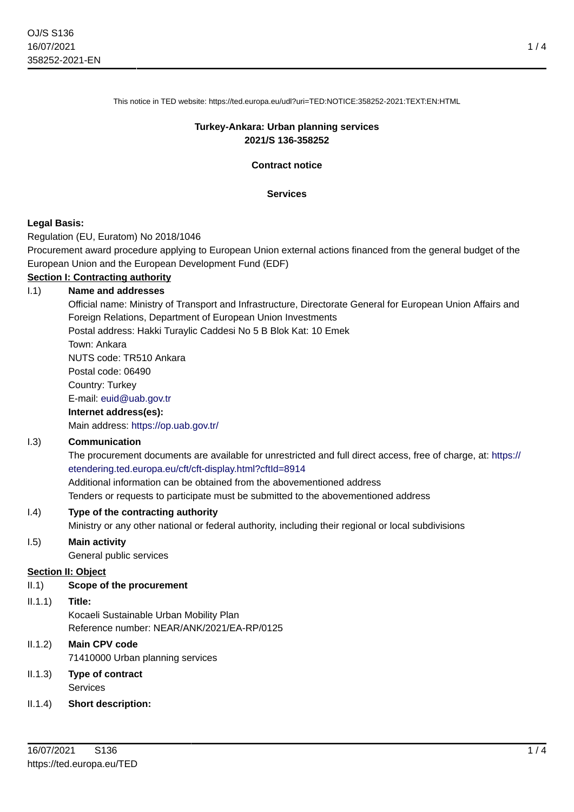This notice in TED website: https://ted.europa.eu/udl?uri=TED:NOTICE:358252-2021:TEXT:EN:HTML

# **Turkey-Ankara: Urban planning services 2021/S 136-358252**

**Contract notice**

#### **Services**

## **Legal Basis:**

Regulation (EU, Euratom) No 2018/1046

Procurement award procedure applying to European Union external actions financed from the general budget of the European Union and the European Development Fund (EDF)

# **Section I: Contracting authority**

## I.1) **Name and addresses**

Official name: Ministry of Transport and Infrastructure, Directorate General for European Union Affairs and Foreign Relations, Department of European Union Investments Postal address: Hakki Turaylic Caddesi No 5 B Blok Kat: 10 Emek Town: Ankara NUTS code: TR510 Ankara Postal code: 06490 Country: Turkey E-mail: [euid@uab.gov.tr](mailto:euid@uab.gov.tr) **Internet address(es):** Main address:<https://op.uab.gov.tr/>

# I.3) **Communication**

The procurement documents are available for unrestricted and full direct access, free of charge, at: [https://](https://etendering.ted.europa.eu/cft/cft-display.html?cftId=8914) [etendering.ted.europa.eu/cft/cft-display.html?cftId=8914](https://etendering.ted.europa.eu/cft/cft-display.html?cftId=8914) Additional information can be obtained from the abovementioned address Tenders or requests to participate must be submitted to the abovementioned address

## I.4) **Type of the contracting authority**

Ministry or any other national or federal authority, including their regional or local subdivisions

## I.5) **Main activity**

General public services

#### **Section II: Object**

# II.1) **Scope of the procurement**

# II.1.1) **Title:**

Kocaeli Sustainable Urban Mobility Plan Reference number: NEAR/ANK/2021/EA-RP/0125

# II.1.2) **Main CPV code**

71410000 Urban planning services

# II.1.3) **Type of contract** Services

# II.1.4) **Short description:**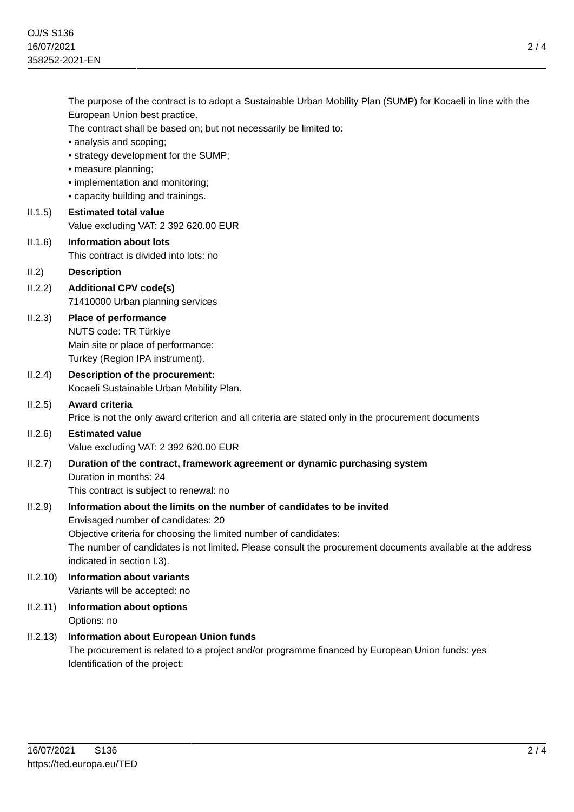The purpose of the contract is to adopt a Sustainable Urban Mobility Plan (SUMP) for Kocaeli in line with the European Union best practice. The contract shall be based on; but not necessarily be limited to: • analysis and scoping; • strategy development for the SUMP; • measure planning; • implementation and monitoring; • capacity building and trainings. II.1.5) **Estimated total value** Value excluding VAT: 2 392 620.00 EUR II.1.6) **Information about lots** This contract is divided into lots: no II.2) **Description** II.2.2) **Additional CPV code(s)** 71410000 Urban planning services II.2.3) **Place of performance** NUTS code: TR Türkiye Main site or place of performance: Turkey (Region IPA instrument). II.2.4) **Description of the procurement:** Kocaeli Sustainable Urban Mobility Plan. II.2.5) **Award criteria** Price is not the only award criterion and all criteria are stated only in the procurement documents II.2.6) **Estimated value** Value excluding VAT: 2 392 620.00 EUR II.2.7) **Duration of the contract, framework agreement or dynamic purchasing system** Duration in months: 24 This contract is subject to renewal: no II.2.9) **Information about the limits on the number of candidates to be invited** Envisaged number of candidates: 20 Objective criteria for choosing the limited number of candidates: The number of candidates is not limited. Please consult the procurement documents available at the address indicated in section I.3). II.2.10) **Information about variants** Variants will be accepted: no II.2.11) **Information about options** Options: no II.2.13) **Information about European Union funds** The procurement is related to a project and/or programme financed by European Union funds: yes Identification of the project: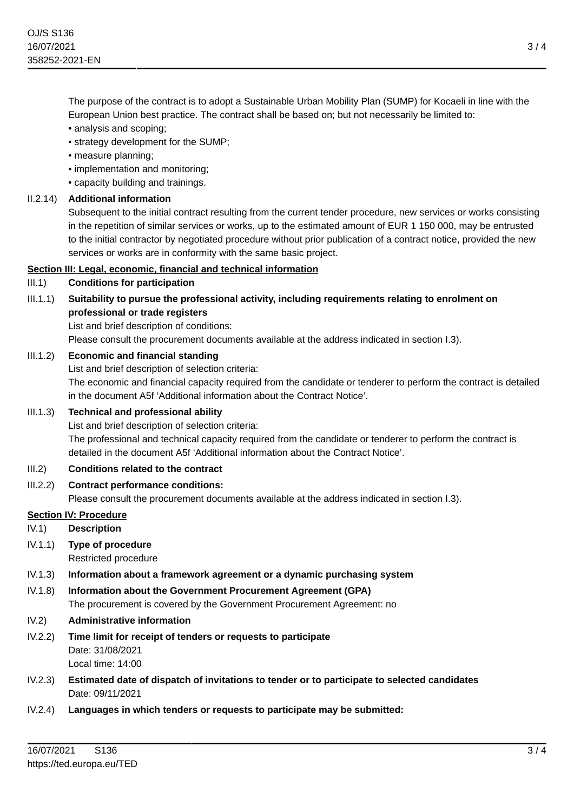The purpose of the contract is to adopt a Sustainable Urban Mobility Plan (SUMP) for Kocaeli in line with the European Union best practice. The contract shall be based on; but not necessarily be limited to:

- analysis and scoping;
- strategy development for the SUMP;
- measure planning;
- implementation and monitoring;
- capacity building and trainings.

## II.2.14) **Additional information**

Subsequent to the initial contract resulting from the current tender procedure, new services or works consisting in the repetition of similar services or works, up to the estimated amount of EUR 1 150 000, may be entrusted to the initial contractor by negotiated procedure without prior publication of a contract notice, provided the new services or works are in conformity with the same basic project.

## **Section III: Legal, economic, financial and technical information**

## III.1) **Conditions for participation**

# III.1.1) **Suitability to pursue the professional activity, including requirements relating to enrolment on professional or trade registers**

List and brief description of conditions:

Please consult the procurement documents available at the address indicated in section I.3).

## III.1.2) **Economic and financial standing**

List and brief description of selection criteria:

The economic and financial capacity required from the candidate or tenderer to perform the contract is detailed in the document A5f 'Additional information about the Contract Notice'.

#### III.1.3) **Technical and professional ability**

List and brief description of selection criteria: The professional and technical capacity required from the candidate or tenderer to perform the contract is detailed in the document A5f 'Additional information about the Contract Notice'.

#### III.2) **Conditions related to the contract**

III.2.2) **Contract performance conditions:**

Please consult the procurement documents available at the address indicated in section I.3).

#### **Section IV: Procedure**

IV.1) **Description**

## IV.1.1) **Type of procedure**

Restricted procedure

#### IV.1.3) **Information about a framework agreement or a dynamic purchasing system**

- IV.1.8) **Information about the Government Procurement Agreement (GPA)** The procurement is covered by the Government Procurement Agreement: no
- IV.2) **Administrative information**
- IV.2.2) **Time limit for receipt of tenders or requests to participate** Date: 31/08/2021 Local time: 14:00
- IV.2.3) **Estimated date of dispatch of invitations to tender or to participate to selected candidates** Date: 09/11/2021
- IV.2.4) **Languages in which tenders or requests to participate may be submitted:**